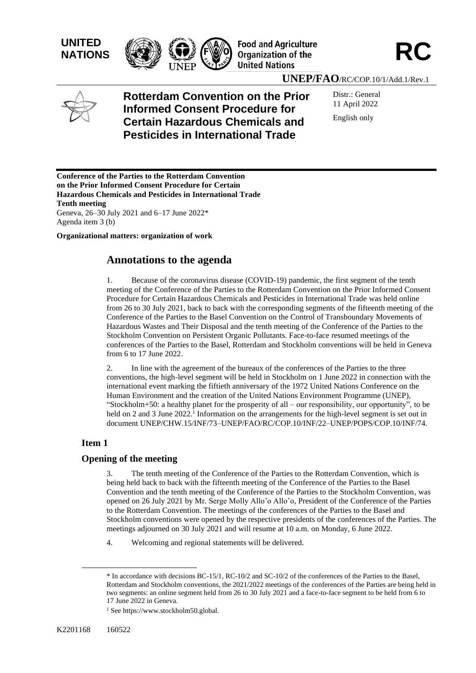





**UNEP/FAO**/RC/COP.10/1/Add.1/Rev.1



**Rotterdam Convention on the Prior Informed Consent Procedure for Certain Hazardous Chemicals and Pesticides in International Trade**

Distr.: General 11 April 2022 English only

**Conference of the Parties to the Rotterdam Convention on the Prior Informed Consent Procedure for Certain Hazardous Chemicals and Pesticides in International Trade Tenth meeting** Geneva, 26–30 July 2021 and 6–17 June 2022\* Agenda item 3 (b)

**Organizational matters: organization of work**

# **Annotations to the agenda**

1. Because of the coronavirus disease (COVID-19) pandemic, the first segment of the tenth meeting of the Conference of the Parties to the Rotterdam Convention on the Prior Informed Consent Procedure for Certain Hazardous Chemicals and Pesticides in International Trade was held online from 26 to 30 July 2021, back to back with the corresponding segments of the fifteenth meeting of the Conference of the Parties to the Basel Convention on the Control of Transboundary Movements of Hazardous Wastes and Their Disposal and the tenth meeting of the Conference of the Parties to the Stockholm Convention on Persistent Organic Pollutants. Face-to-face resumed meetings of the conferences of the Parties to the Basel, Rotterdam and Stockholm conventions will be held in Geneva from 6 to 17 June 2022.

2. In line with the agreement of the bureaux of the conferences of the Parties to the three conventions, the high-level segment will be held in Stockholm on 1 June 2022 in connection with the international event marking the fiftieth anniversary of the 1972 United Nations Conference on the Human Environment and the creation of the United Nations Environment Programme (UNEP), "Stockholm+50: a healthy planet for the prosperity of all – our responsibility, our opportunity", to be held on 2 and 3 June 2022.<sup>1</sup> Information on the arrangements for the high-level segment is set out in document UNEP/CHW.15/INF/73–UNEP/FAO/RC/COP.10/INF/22–UNEP/POPS/COP.10/INF/74.

# **Item 1**

# **Opening of the meeting**

3. The tenth meeting of the Conference of the Parties to the Rotterdam Convention, which is being held back to back with the fifteenth meeting of the Conference of the Parties to the Basel Convention and the tenth meeting of the Conference of the Parties to the Stockholm Convention, was opened on 26 July 2021 by Mr. Serge Molly Allo'o Allo'o, President of the Conference of the Parties to the Rotterdam Convention. The meetings of the conferences of the Parties to the Basel and Stockholm conventions were opened by the respective presidents of the conferences of the Parties. The meetings adjourned on 30 July 2021 and will resume at 10 a.m. on Monday, 6 June 2022.

4. Welcoming and regional statements will be delivered.

<sup>\*</sup> In accordance with decisions BC-15/1, RC-10/2 and SC-10/2 of the conferences of the Parties to the Basel, Rotterdam and Stockholm conventions, the 2021/2022 meetings of the conferences of the Parties are being held in two segments: an online segment held from 26 to 30 July 2021 and a face-to-face segment to be held from 6 to 17 June 2022 in Geneva.

<sup>&</sup>lt;sup>1</sup> See https://www.stockholm50.global.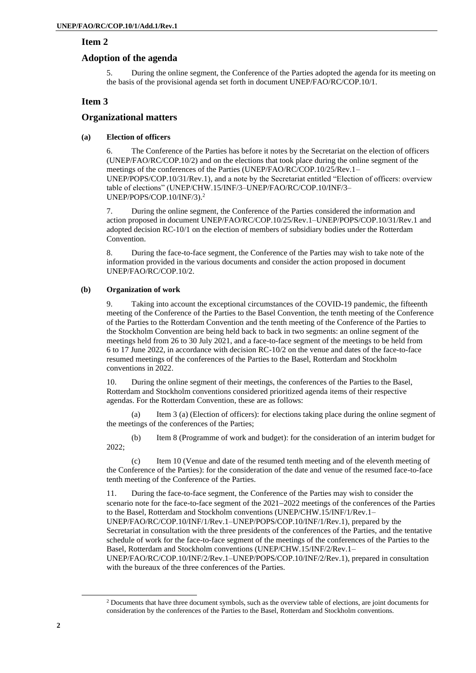## **Item 2**

# **Adoption of the agenda**

5. During the online segment, the Conference of the Parties adopted the agenda for its meeting on the basis of the provisional agenda set forth in document UNEP/FAO/RC/COP.10/1.

# **Item 3**

# **Organizational matters**

## **(a) Election of officers**

6. The Conference of the Parties has before it notes by the Secretariat on the election of officers (UNEP/FAO/RC/COP.10/2) and on the elections that took place during the online segment of the meetings of the conferences of the Parties (UNEP/FAO/RC/COP.10/25/Rev.1– UNEP/POPS/COP.10/31/Rev.1), and a note by the Secretariat entitled "Election of officers: overview table of elections" (UNEP/CHW.15/INF/3–UNEP/FAO/RC/COP.10/INF/3– UNEP/POPS/COP.10/INF/3). 2

7. During the online segment, the Conference of the Parties considered the information and action proposed in document UNEP/FAO/RC/COP.10/25/Rev.1–UNEP/POPS/COP.10/31/Rev.1 and adopted decision RC-10/1 on the election of members of subsidiary bodies under the Rotterdam Convention.

8. During the face-to-face segment, the Conference of the Parties may wish to take note of the information provided in the various documents and consider the action proposed in document UNEP/FAO/RC/COP.10/2.

## **(b) Organization of work**

9. Taking into account the exceptional circumstances of the COVID-19 pandemic, the fifteenth meeting of the Conference of the Parties to the Basel Convention, the tenth meeting of the Conference of the Parties to the Rotterdam Convention and the tenth meeting of the Conference of the Parties to the Stockholm Convention are being held back to back in two segments: an online segment of the meetings held from 26 to 30 July 2021, and a face-to-face segment of the meetings to be held from 6 to 17 June 2022, in accordance with decision RC-10/2 on the venue and dates of the face-to-face resumed meetings of the conferences of the Parties to the Basel, Rotterdam and Stockholm conventions in 2022.

10. During the online segment of their meetings, the conferences of the Parties to the Basel, Rotterdam and Stockholm conventions considered prioritized agenda items of their respective agendas. For the Rotterdam Convention, these are as follows:

(a) Item 3 (a) (Election of officers): for elections taking place during the online segment of the meetings of the conferences of the Parties;

(b) Item 8 (Programme of work and budget): for the consideration of an interim budget for 2022;

(c) Item 10 (Venue and date of the resumed tenth meeting and of the eleventh meeting of the Conference of the Parties): for the consideration of the date and venue of the resumed face-to-face tenth meeting of the Conference of the Parties.

11. During the face-to-face segment, the Conference of the Parties may wish to consider the scenario note for the face-to-face segment of the 2021–2022 meetings of the conferences of the Parties to the Basel, Rotterdam and Stockholm conventions (UNEP/CHW.15/INF/1/Rev.1– UNEP/FAO/RC/COP.10/INF/1/Rev.1–UNEP/POPS/COP.10/INF/1/Rev.1), prepared by the Secretariat in consultation with the three presidents of the conferences of the Parties, and the tentative schedule of work for the face-to-face segment of the meetings of the conferences of the Parties to the Basel, Rotterdam and Stockholm conventions (UNEP/CHW.15/INF/2/Rev.1– UNEP/FAO/RC/COP.10/INF/2/Rev.1–UNEP/POPS/COP.10/INF/2/Rev.1), prepared in consultation with the bureaux of the three conferences of the Parties.

<sup>&</sup>lt;sup>2</sup> Documents that have three document symbols, such as the overview table of elections, are joint documents for consideration by the conferences of the Parties to the Basel, Rotterdam and Stockholm conventions.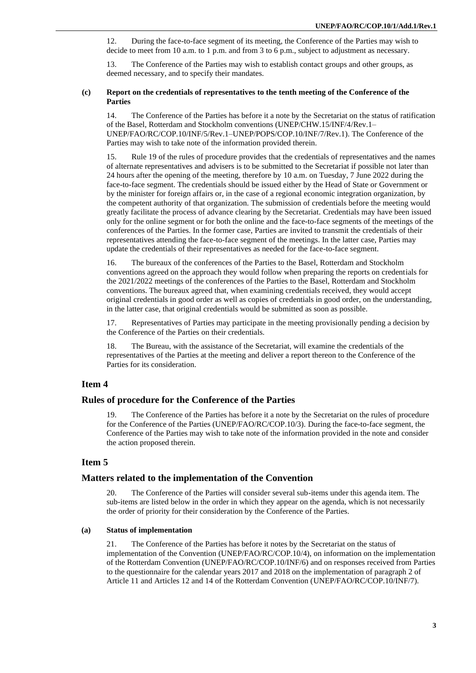12. During the face-to-face segment of its meeting, the Conference of the Parties may wish to decide to meet from 10 a.m. to 1 p.m. and from 3 to 6 p.m., subject to adjustment as necessary.

13. The Conference of the Parties may wish to establish contact groups and other groups, as deemed necessary, and to specify their mandates.

### **(c) Report on the credentials of representatives to the tenth meeting of the Conference of the Parties**

14. The Conference of the Parties has before it a note by the Secretariat on the status of ratification of the Basel, Rotterdam and Stockholm conventions (UNEP/CHW.15/INF/4/Rev.1– UNEP/FAO/RC/COP.10/INF/5/Rev.1–UNEP/POPS/COP.10/INF/7/Rev.1). The Conference of the Parties may wish to take note of the information provided therein.

15. Rule 19 of the rules of procedure provides that the credentials of representatives and the names of alternate representatives and advisers is to be submitted to the Secretariat if possible not later than 24 hours after the opening of the meeting, therefore by 10 a.m. on Tuesday, 7 June 2022 during the face-to-face segment. The credentials should be issued either by the Head of State or Government or by the minister for foreign affairs or, in the case of a regional economic integration organization, by the competent authority of that organization. The submission of credentials before the meeting would greatly facilitate the process of advance clearing by the Secretariat. Credentials may have been issued only for the online segment or for both the online and the face-to-face segments of the meetings of the conferences of the Parties. In the former case, Parties are invited to transmit the credentials of their representatives attending the face-to-face segment of the meetings. In the latter case, Parties may update the credentials of their representatives as needed for the face-to-face segment.

16. The bureaux of the conferences of the Parties to the Basel, Rotterdam and Stockholm conventions agreed on the approach they would follow when preparing the reports on credentials for the 2021/2022 meetings of the conferences of the Parties to the Basel, Rotterdam and Stockholm conventions. The bureaux agreed that, when examining credentials received, they would accept original credentials in good order as well as copies of credentials in good order, on the understanding, in the latter case, that original credentials would be submitted as soon as possible.

17. Representatives of Parties may participate in the meeting provisionally pending a decision by the Conference of the Parties on their credentials.

18. The Bureau, with the assistance of the Secretariat, will examine the credentials of the representatives of the Parties at the meeting and deliver a report thereon to the Conference of the Parties for its consideration.

# **Item 4**

## **Rules of procedure for the Conference of the Parties**

19. The Conference of the Parties has before it a note by the Secretariat on the rules of procedure for the Conference of the Parties (UNEP/FAO/RC/COP.10/3). During the face-to-face segment, the Conference of the Parties may wish to take note of the information provided in the note and consider the action proposed therein.

# **Item 5**

### **Matters related to the implementation of the Convention**

The Conference of the Parties will consider several sub-items under this agenda item. The sub-items are listed below in the order in which they appear on the agenda, which is not necessarily the order of priority for their consideration by the Conference of the Parties.

## **(a) Status of implementation**

21. The Conference of the Parties has before it notes by the Secretariat on the status of implementation of the Convention (UNEP/FAO/RC/COP.10/4), on information on the implementation of the Rotterdam Convention (UNEP/FAO/RC/COP.10/INF/6) and on responses received from Parties to the questionnaire for the calendar years 2017 and 2018 on the implementation of paragraph 2 of Article 11 and Articles 12 and 14 of the Rotterdam Convention (UNEP/FAO/RC/COP.10/INF/7).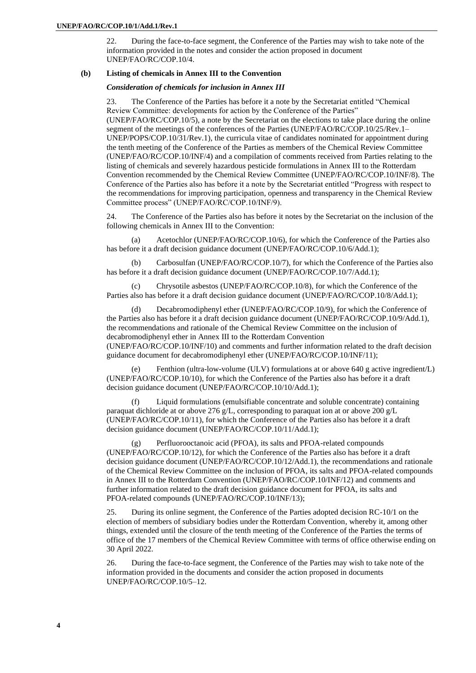22. During the face-to-face segment, the Conference of the Parties may wish to take note of the information provided in the notes and consider the action proposed in document UNEP/FAO/RC/COP.10/4.

#### **(b) Listing of chemicals in Annex III to the Convention**

*Consideration of chemicals for inclusion in Annex III*

23. The Conference of the Parties has before it a note by the Secretariat entitled "Chemical Review Committee: developments for action by the Conference of the Parties" (UNEP/FAO/RC/COP.10/5), a note by the Secretariat on the elections to take place during the online segment of the meetings of the conferences of the Parties (UNEP/FAO/RC/COP.10/25/Rev.1– UNEP/POPS/COP.10/31/Rev.1), the curricula vitae of candidates nominated for appointment during the tenth meeting of the Conference of the Parties as members of the Chemical Review Committee (UNEP/FAO/RC/COP.10/INF/4) and a compilation of comments received from Parties relating to the listing of chemicals and severely hazardous pesticide formulations in Annex III to the Rotterdam Convention recommended by the Chemical Review Committee (UNEP/FAO/RC/COP.10/INF/8). The Conference of the Parties also has before it a note by the Secretariat entitled "Progress with respect to the recommendations for improving participation, openness and transparency in the Chemical Review Committee process" (UNEP/FAO/RC/COP.10/INF/9).

24. The Conference of the Parties also has before it notes by the Secretariat on the inclusion of the following chemicals in Annex III to the Convention:

(a) Acetochlor (UNEP/FAO/RC/COP.10/6), for which the Conference of the Parties also has before it a draft decision guidance document (UNEP/FAO/RC/COP.10/6/Add.1);

(b) Carbosulfan (UNEP/FAO/RC/COP.10/7), for which the Conference of the Parties also has before it a draft decision guidance document (UNEP/FAO/RC/COP.10/7/Add.1);

(c) Chrysotile asbestos (UNEP/FAO/RC/COP.10/8), for which the Conference of the Parties also has before it a draft decision guidance document (UNEP/FAO/RC/COP.10/8/Add.1);

(d) Decabromodiphenyl ether (UNEP/FAO/RC/COP.10/9), for which the Conference of the Parties also has before it a draft decision guidance document (UNEP/FAO/RC/COP.10/9/Add.1), the recommendations and rationale of the Chemical Review Committee on the inclusion of decabromodiphenyl ether in Annex III to the Rotterdam Convention

(UNEP/FAO/RC/COP.10/INF/10) and comments and further information related to the draft decision guidance document for decabromodiphenyl ether (UNEP/FAO/RC/COP.10/INF/11);

(e) Fenthion (ultra-low-volume (ULV) formulations at or above 640 g active ingredient/L) (UNEP/FAO/RC/COP.10/10), for which the Conference of the Parties also has before it a draft decision guidance document (UNEP/FAO/RC/COP.10/10/Add.1);

(f) Liquid formulations (emulsifiable concentrate and soluble concentrate) containing paraquat dichloride at or above 276 g/L, corresponding to paraquat ion at or above 200 g/L (UNEP/FAO/RC/COP.10/11), for which the Conference of the Parties also has before it a draft decision guidance document (UNEP/FAO/RC/COP.10/11/Add.1);

(g) Perfluorooctanoic acid (PFOA), its salts and PFOA-related compounds (UNEP/FAO/RC/COP.10/12), for which the Conference of the Parties also has before it a draft decision guidance document (UNEP/FAO/RC/COP.10/12/Add.1), the recommendations and rationale of the Chemical Review Committee on the inclusion of PFOA, its salts and PFOA-related compounds in Annex III to the Rotterdam Convention (UNEP/FAO/RC/COP.10/INF/12) and comments and further information related to the draft decision guidance document for PFOA, its salts and PFOA-related compounds (UNEP/FAO/RC/COP.10/INF/13);

25. During its online segment, the Conference of the Parties adopted decision RC-10/1 on the election of members of subsidiary bodies under the Rotterdam Convention, whereby it, among other things, extended until the closure of the tenth meeting of the Conference of the Parties the terms of office of the 17 members of the Chemical Review Committee with terms of office otherwise ending on 30 April 2022.

26. During the face-to-face segment, the Conference of the Parties may wish to take note of the information provided in the documents and consider the action proposed in documents UNEP/FAO/RC/COP.10/5–12.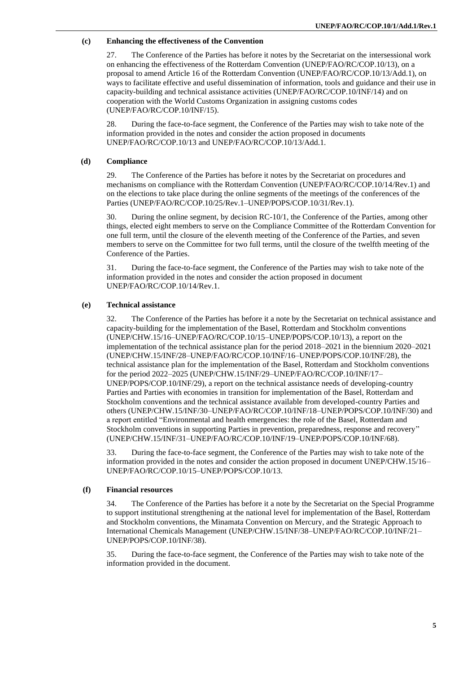## **(c) Enhancing the effectiveness of the Convention**

27. The Conference of the Parties has before it notes by the Secretariat on the intersessional work on enhancing the effectiveness of the Rotterdam Convention (UNEP/FAO/RC/COP.10/13), on a proposal to amend Article 16 of the Rotterdam Convention (UNEP/FAO/RC/COP.10/13/Add.1), on ways to facilitate effective and useful dissemination of information, tools and guidance and their use in capacity-building and technical assistance activities (UNEP/FAO/RC/COP.10/INF/14) and on cooperation with the World Customs Organization in assigning customs codes (UNEP/FAO/RC/COP.10/INF/15).

28. During the face-to-face segment, the Conference of the Parties may wish to take note of the information provided in the notes and consider the action proposed in documents UNEP/FAO/RC/COP.10/13 and UNEP/FAO/RC/COP.10/13/Add.1.

### **(d) Compliance**

29. The Conference of the Parties has before it notes by the Secretariat on procedures and mechanisms on compliance with the Rotterdam Convention (UNEP/FAO/RC/COP.10/14/Rev.1) and on the elections to take place during the online segments of the meetings of the conferences of the Parties (UNEP/FAO/RC/COP.10/25/Rev.1–UNEP/POPS/COP.10/31/Rev.1).

30. During the online segment, by decision RC-10/1, the Conference of the Parties, among other things, elected eight members to serve on the Compliance Committee of the Rotterdam Convention for one full term, until the closure of the eleventh meeting of the Conference of the Parties, and seven members to serve on the Committee for two full terms, until the closure of the twelfth meeting of the Conference of the Parties.

31. During the face-to-face segment, the Conference of the Parties may wish to take note of the information provided in the notes and consider the action proposed in document UNEP/FAO/RC/COP.10/14/Rev.1.

#### **(e) Technical assistance**

32. The Conference of the Parties has before it a note by the Secretariat on technical assistance and capacity-building for the implementation of the Basel, Rotterdam and Stockholm conventions (UNEP/CHW.15/16–UNEP/FAO/RC/COP.10/15–UNEP/POPS/COP.10/13), a report on the implementation of the technical assistance plan for the period 2018–2021 in the biennium 2020–2021 (UNEP/CHW.15/INF/28–UNEP/FAO/RC/COP.10/INF/16–UNEP/POPS/COP.10/INF/28), the technical assistance plan for the implementation of the Basel, Rotterdam and Stockholm conventions for the period 2022–2025 (UNEP/CHW.15/INF/29–UNEP/FAO/RC/COP.10/INF/17– UNEP/POPS/COP.10/INF/29), a report on the technical assistance needs of developing-country Parties and Parties with economies in transition for implementation of the Basel, Rotterdam and Stockholm conventions and the technical assistance available from developed-country Parties and others (UNEP/CHW.15/INF/30–UNEP/FAO/RC/COP.10/INF/18–UNEP/POPS/COP.10/INF/30) and a report entitled "Environmental and health emergencies: the role of the Basel, Rotterdam and Stockholm conventions in supporting Parties in prevention, preparedness, response and recovery" (UNEP/CHW.15/INF/31–UNEP/FAO/RC/COP.10/INF/19–UNEP/POPS/COP.10/INF/68).

33. During the face-to-face segment, the Conference of the Parties may wish to take note of the information provided in the notes and consider the action proposed in document UNEP/CHW.15/16– UNEP/FAO/RC/COP.10/15–UNEP/POPS/COP.10/13.

### **(f) Financial resources**

34. The Conference of the Parties has before it a note by the Secretariat on the Special Programme to support institutional strengthening at the national level for implementation of the Basel, Rotterdam and Stockholm conventions, the Minamata Convention on Mercury, and the Strategic Approach to International Chemicals Management (UNEP/CHW.15/INF/38–UNEP/FAO/RC/COP.10/INF/21– UNEP/POPS/COP.10/INF/38).

35. During the face-to-face segment, the Conference of the Parties may wish to take note of the information provided in the document.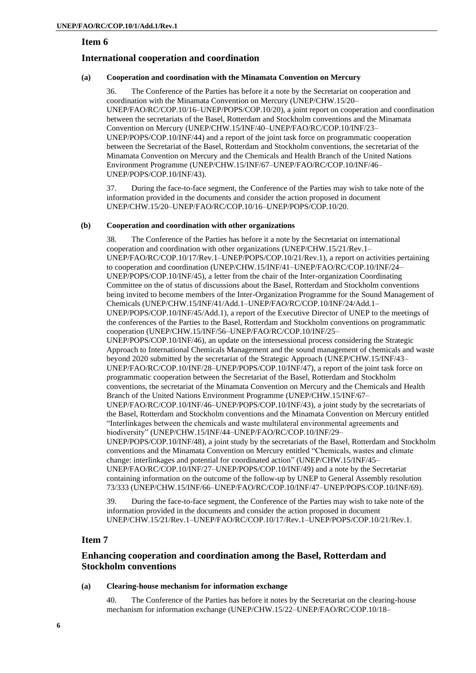## **Item 6**

# **International cooperation and coordination**

## **(a) Cooperation and coordination with the Minamata Convention on Mercury**

36. The Conference of the Parties has before it a note by the Secretariat on cooperation and coordination with the Minamata Convention on Mercury (UNEP/CHW.15/20– UNEP/FAO/RC/COP.10/16–UNEP/POPS/COP.10/20), a joint report on cooperation and coordination between the secretariats of the Basel, Rotterdam and Stockholm conventions and the Minamata Convention on Mercury (UNEP/CHW.15/INF/40–UNEP/FAO/RC/COP.10/INF/23– UNEP/POPS/COP.10/INF/44) and a report of the joint task force on programmatic cooperation between the Secretariat of the Basel, Rotterdam and Stockholm conventions, the secretariat of the Minamata Convention on Mercury and the Chemicals and Health Branch of the United Nations Environment Programme (UNEP/CHW.15/INF/67–UNEP/FAO/RC/COP.10/INF/46– UNEP/POPS/COP.10/INF/43).

37. During the face-to-face segment, the Conference of the Parties may wish to take note of the information provided in the documents and consider the action proposed in document UNEP/CHW.15/20–UNEP/FAO/RC/COP.10/16–UNEP/POPS/COP.10/20.

#### **(b) Cooperation and coordination with other organizations**

38. The Conference of the Parties has before it a note by the Secretariat on international cooperation and coordination with other organizations (UNEP/CHW.15/21/Rev.1– UNEP/FAO/RC/COP.10/17/Rev.1–UNEP/POPS/COP.10/21/Rev.1), a report on activities pertaining to cooperation and coordination (UNEP/CHW.15/INF/41–UNEP/FAO/RC/COP.10/INF/24– UNEP/POPS/COP.10/INF/45), a letter from the chair of the Inter-organization Coordinating Committee on the of status of discussions about the Basel, Rotterdam and Stockholm conventions being invited to become members of the Inter-Organization Programme for the Sound Management of Chemicals (UNEP/CHW.15/INF/41/Add.1–UNEP/FAO/RC/COP.10/INF/24/Add.1– UNEP/POPS/COP.10/INF/45/Add.1), a report of the Executive Director of UNEP to the meetings of the conferences of the Parties to the Basel, Rotterdam and Stockholm conventions on programmatic cooperation (UNEP/CHW.15/INF/56–UNEP/FAO/RC/COP.10/INF/25– UNEP/POPS/COP.10/INF/46), an update on the intersessional process considering the Strategic Approach to International Chemicals Management and the sound management of chemicals and waste beyond 2020 submitted by the secretariat of the Strategic Approach (UNEP/CHW.15/INF/43– UNEP/FAO/RC/COP.10/INF/28–UNEP/POPS/COP.10/INF/47), a report of the joint task force on programmatic cooperation between the Secretariat of the Basel, Rotterdam and Stockholm conventions, the secretariat of the Minamata Convention on Mercury and the Chemicals and Health Branch of the United Nations Environment Programme (UNEP/CHW.15/INF/67– UNEP/FAO/RC/COP.10/INF/46–UNEP/POPS/COP.10/INF/43), a joint study by the secretariats of the Basel, Rotterdam and Stockholm conventions and the Minamata Convention on Mercury entitled "Interlinkages between the chemicals and waste multilateral environmental agreements and biodiversity" (UNEP/CHW.15/INF/44–UNEP/FAO/RC/COP.10/INF/29– UNEP/POPS/COP.10/INF/48), a joint study by the secretariats of the Basel, Rotterdam and Stockholm conventions and the Minamata Convention on Mercury entitled "Chemicals, wastes and climate change: interlinkages and potential for coordinated action" (UNEP/CHW.15/INF/45– UNEP/FAO/RC/COP.10/INF/27–UNEP/POPS/COP.10/INF/49) and a note by the Secretariat containing information on the outcome of the follow-up by UNEP to General Assembly resolution 73/333 (UNEP/CHW.15/INF/66–UNEP/FAO/RC/COP.10/INF/47–UNEP/POPS/COP.10/INF/69).

39. During the face-to-face segment, the Conference of the Parties may wish to take note of the information provided in the documents and consider the action proposed in document UNEP/CHW.15/21/Rev.1–UNEP/FAO/RC/COP.10/17/Rev.1–UNEP/POPS/COP.10/21/Rev.1.

# **Item 7**

# **Enhancing cooperation and coordination among the Basel, Rotterdam and Stockholm conventions**

#### **(a) Clearing-house mechanism for information exchange**

40. The Conference of the Parties has before it notes by the Secretariat on the clearing-house mechanism for information exchange (UNEP/CHW.15/22–UNEP/FAO/RC/COP.10/18–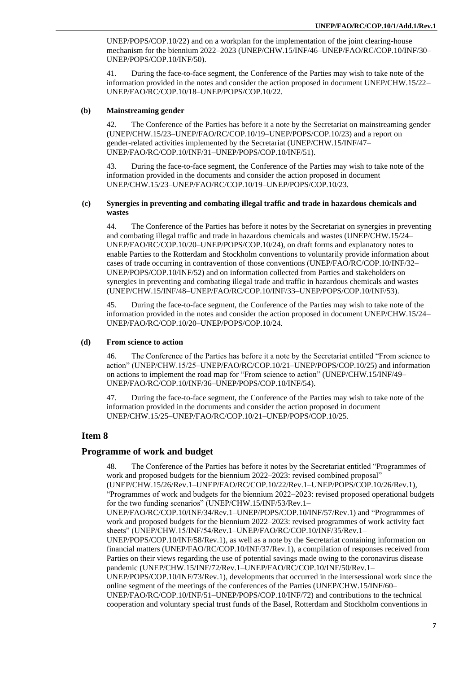UNEP/POPS/COP.10/22) and on a workplan for the implementation of the joint clearing-house mechanism for the biennium 2022–2023 (UNEP/CHW.15/INF/46–UNEP/FAO/RC/COP.10/INF/30– UNEP/POPS/COP.10/INF/50).

41. During the face-to-face segment, the Conference of the Parties may wish to take note of the information provided in the notes and consider the action proposed in document UNEP/CHW.15/22– UNEP/FAO/RC/COP.10/18–UNEP/POPS/COP.10/22.

### **(b) Mainstreaming gender**

42. The Conference of the Parties has before it a note by the Secretariat on mainstreaming gender (UNEP/CHW.15/23–UNEP/FAO/RC/COP.10/19–UNEP/POPS/COP.10/23) and a report on gender-related activities implemented by the Secretariat (UNEP/CHW.15/INF/47– UNEP/FAO/RC/COP.10/INF/31–UNEP/POPS/COP.10/INF/51).

43. During the face-to-face segment, the Conference of the Parties may wish to take note of the information provided in the documents and consider the action proposed in document UNEP/CHW.15/23–UNEP/FAO/RC/COP.10/19–UNEP/POPS/COP.10/23.

#### **(c) Synergies in preventing and combating illegal traffic and trade in hazardous chemicals and wastes**

44. The Conference of the Parties has before it notes by the Secretariat on synergies in preventing and combating illegal traffic and trade in hazardous chemicals and wastes (UNEP/CHW.15/24– UNEP/FAO/RC/COP.10/20–UNEP/POPS/COP.10/24), on draft forms and explanatory notes to enable Parties to the Rotterdam and Stockholm conventions to voluntarily provide information about cases of trade occurring in contravention of those conventions (UNEP/FAO/RC/COP.10/INF/32– UNEP/POPS/COP.10/INF/52) and on information collected from Parties and stakeholders on synergies in preventing and combating illegal trade and traffic in hazardous chemicals and wastes (UNEP/CHW.15/INF/48–UNEP/FAO/RC/COP.10/INF/33–UNEP/POPS/COP.10/INF/53).

45. During the face-to-face segment, the Conference of the Parties may wish to take note of the information provided in the notes and consider the action proposed in document UNEP/CHW.15/24– UNEP/FAO/RC/COP.10/20–UNEP/POPS/COP.10/24.

#### **(d) From science to action**

46. The Conference of the Parties has before it a note by the Secretariat entitled "From science to action" (UNEP/CHW.15/25–UNEP/FAO/RC/COP.10/21–UNEP/POPS/COP.10/25) and information on actions to implement the road map for "From science to action" (UNEP/CHW.15/INF/49– UNEP/FAO/RC/COP.10/INF/36–UNEP/POPS/COP.10/INF/54).

47. During the face-to-face segment, the Conference of the Parties may wish to take note of the information provided in the documents and consider the action proposed in document UNEP/CHW.15/25–UNEP/FAO/RC/COP.10/21–UNEP/POPS/COP.10/25.

## **Item 8**

## **Programme of work and budget**

48. The Conference of the Parties has before it notes by the Secretariat entitled "Programmes of work and proposed budgets for the biennium 2022–2023: revised combined proposal" (UNEP/CHW.15/26/Rev.1–UNEP/FAO/RC/COP.10/22/Rev.1–UNEP/POPS/COP.10/26/Rev.1), "Programmes of work and budgets for the biennium 2022–2023: revised proposed operational budgets for the two funding scenarios" (UNEP/CHW.15/INF/53/Rev.1– UNEP/FAO/RC/COP.10/INF/34/Rev.1–UNEP/POPS/COP.10/INF/57/Rev.1) and "Programmes of work and proposed budgets for the biennium 2022–2023: revised programmes of work activity fact sheets" (UNEP/CHW.15/INF/54/Rev.1–UNEP/FAO/RC/COP.10/INF/35/Rev.1– UNEP/POPS/COP.10/INF/58/Rev.1), as well as a note by the Secretariat containing information on financial matters (UNEP/FAO/RC/COP.10/INF/37/Rev.1), a compilation of responses received from Parties on their views regarding the use of potential savings made owing to the coronavirus disease pandemic (UNEP/CHW.15/INF/72/Rev.1–UNEP/FAO/RC/COP.10/INF/50/Rev.1– UNEP/POPS/COP.10/INF/73/Rev.1), developments that occurred in the intersessional work since the online segment of the meetings of the conferences of the Parties (UNEP/CHW.15/INF/60– UNEP/FAO/RC/COP.10/INF/51–UNEP/POPS/COP.10/INF/72) and contributions to the technical cooperation and voluntary special trust funds of the Basel, Rotterdam and Stockholm conventions in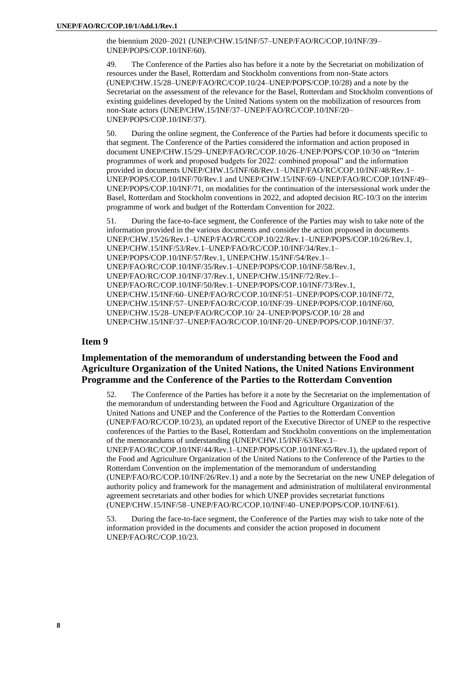the biennium 2020–2021 (UNEP/CHW.15/INF/57–UNEP/FAO/RC/COP.10/INF/39– UNEP/POPS/COP.10/INF/60).

49. The Conference of the Parties also has before it a note by the Secretariat on mobilization of resources under the Basel, Rotterdam and Stockholm conventions from non-State actors (UNEP/CHW.15/28–UNEP/FAO/RC/COP.10/24–UNEP/POPS/COP.10/28) and a note by the Secretariat on the assessment of the relevance for the Basel, Rotterdam and Stockholm conventions of existing guidelines developed by the United Nations system on the mobilization of resources from non-State actors (UNEP/CHW.15/INF/37–UNEP/FAO/RC/COP.10/INF/20– UNEP/POPS/COP.10/INF/37).

50. During the online segment, the Conference of the Parties had before it documents specific to that segment. The Conference of the Parties considered the information and action proposed in document UNEP/CHW.15/29–UNEP/FAO/RC/COP.10/26–UNEP/POPS/COP.10/30 on "Interim programmes of work and proposed budgets for 2022: combined proposal" and the information provided in documents UNEP/CHW.15/INF/68/Rev.1–UNEP/FAO/RC/COP.10/INF/48/Rev.1– UNEP/POPS/COP.10/INF/70/Rev.1 and UNEP/CHW.15/INF/69–UNEP/FAO/RC/COP.10/INF/49– UNEP/POPS/COP.10/INF/71, on modalities for the continuation of the intersessional work under the Basel, Rotterdam and Stockholm conventions in 2022, and adopted decision RC-10/3 on the interim programme of work and budget of the Rotterdam Convention for 2022.

51. During the face-to-face segment, the Conference of the Parties may wish to take note of the information provided in the various documents and consider the action proposed in documents UNEP/CHW.15/26/Rev.1–UNEP/FAO/RC/COP.10/22/Rev.1–UNEP/POPS/COP.10/26/Rev.1, UNEP/CHW.15/INF/53/Rev.1–UNEP/FAO/RC/COP.10/INF/34/Rev.1– UNEP/POPS/COP.10/INF/57/Rev.1, UNEP/CHW.15/INF/54/Rev.1– UNEP/FAO/RC/COP.10/INF/35/Rev.1–UNEP/POPS/COP.10/INF/58/Rev.1, UNEP/FAO/RC/COP.10/INF/37/Rev.1, UNEP/CHW.15/INF/72/Rev.1– UNEP/FAO/RC/COP.10/INF/50/Rev.1–UNEP/POPS/COP.10/INF/73/Rev.1, UNEP/CHW.15/INF/60–UNEP/FAO/RC/COP.10/INF/51–UNEP/POPS/COP.10/INF/72, UNEP/CHW.15/INF/57–UNEP/FAO/RC/COP.10/INF/39–UNEP/POPS/COP.10/INF/60, UNEP/CHW.15/28–UNEP/FAO/RC/COP.10/ 24–UNEP/POPS/COP.10/ 28 and UNEP/CHW.15/INF/37–UNEP/FAO/RC/COP.10/INF/20–UNEP/POPS/COP.10/INF/37.

## **Item 9**

# **Implementation of the memorandum of understanding between the Food and Agriculture Organization of the United Nations, the United Nations Environment Programme and the Conference of the Parties to the Rotterdam Convention**

The Conference of the Parties has before it a note by the Secretariat on the implementation of the memorandum of understanding between the Food and Agriculture Organization of the United Nations and UNEP and the Conference of the Parties to the Rotterdam Convention (UNEP/FAO/RC/COP.10/23), an updated report of the Executive Director of UNEP to the respective conferences of the Parties to the Basel, Rotterdam and Stockholm conventions on the implementation of the memorandums of understanding (UNEP/CHW.15/INF/63/Rev.1– UNEP/FAO/RC/COP.10/INF/44/Rev.1–UNEP/POPS/COP.10/INF/65/Rev.1), the updated report of the Food and Agriculture Organization of the United Nations to the Conference of the Parties to the Rotterdam Convention on the implementation of the memorandum of understanding (UNEP/FAO/RC/COP.10/INF/26/Rev.1) and a note by the Secretariat on the new UNEP delegation of authority policy and framework for the management and administration of multilateral environmental agreement secretariats and other bodies for which UNEP provides secretariat functions (UNEP/CHW.15/INF/58–UNEP/FAO/RC/COP.10/INF/40–UNEP/POPS/COP.10/INF/61).

53. During the face-to-face segment, the Conference of the Parties may wish to take note of the information provided in the documents and consider the action proposed in document UNEP/FAO/RC/COP.10/23.